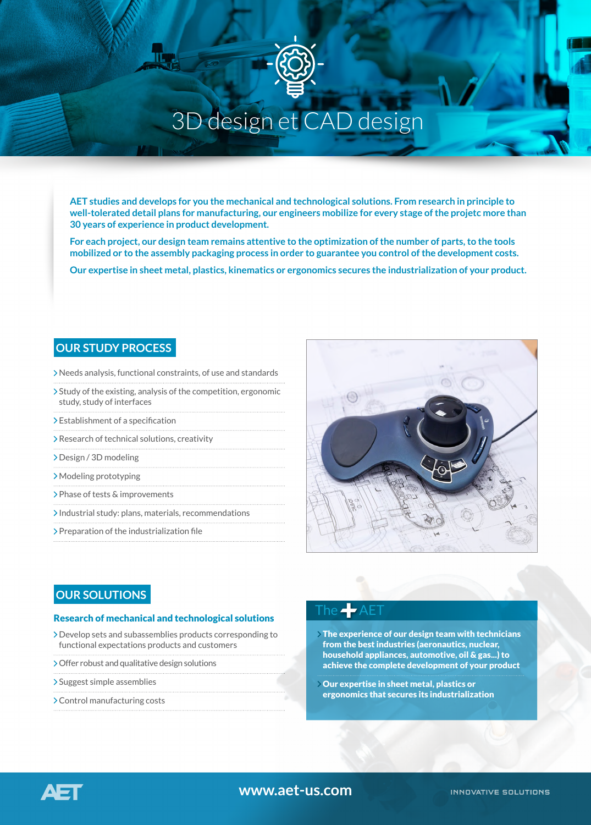

# 3D design et CAD design

**AET studies and develops for you the mechanical and technological solutions. From research in principle to well-tolerated detail plans for manufacturing, our engineers mobilize for every stage of the projetc more than 30 years of experience in product development.**

**For each project, our design team remains attentive to the optimization of the number of parts, to the tools mobilized or to the assembly packaging process in order to guarantee you control of the development costs.**

**Our expertise in sheet metal, plastics, kinematics or ergonomics secures the industrialization of your product.**

#### **OUR STUDY PROCESS**

- Needs analysis, functional constraints, of use and standards
- Study of the existing, analysis of the competition, ergonomic study, study of interfaces
- > Establishment of a specification
- Research of technical solutions, creativity
- Design / 3D modeling
- Modeling prototyping
- Phase of tests & improvements
- Industrial study: plans, materials, recommendations
- > Preparation of the industrialization file



#### **OUR SOLUTIONS**

#### Research of mechanical and technological solutions

- Develop sets and subassemblies products corresponding to functional expectations products and customers
- Offer robust and qualitative design solutions
- > Suggest simple assemblies
- Control manufacturing costs

### The  $-\epsilon$  AE

- The experience of our design team with technicians from the best industries (aeronautics, nuclear, household appliances, automotive, oil & gas...) to achieve the complete development of your product
- Our expertise in sheet metal, plastics or ergonomics that secures its industrialization



#### **www.aet-us.com**

**INNOVATIVE SOLUTIONS**